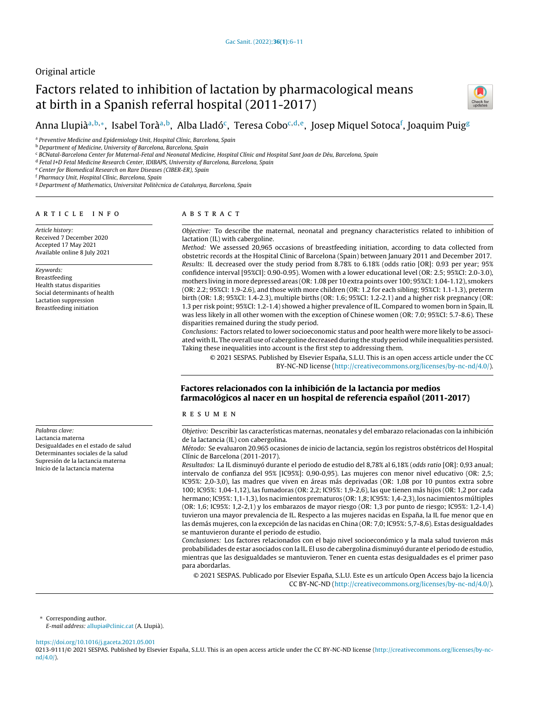## Original article

# Factors related to inhibition of lactation by pharmacological means at birth in a Spanish referral hospital (2011-2017)



## Anna Llupiàª<sup>,b,</sup>\*, Isabel Toràª<sup>,b</sup>, Alba Lladó<sup>c</sup>, Teresa Cobo<sup>c,d,e</sup>, Josep Miquel Sotoca<sup>f</sup>, Joaquim Puig<sup>g</sup>

<sup>a</sup> Preventive Medicine and Epidemiology Unit, Hospital Clínic, Barcelona, Spain

**b** Department of Medicine, University of Barcelona, Barcelona, Spain

<sup>c</sup> BCNatal-Barcelona Center for Maternal-Fetal and Neonatal Medicine, Hospital Clínic and Hospital Sant Joan de Déu, Barcelona, Spain

<sup>d</sup> Fetal I+D Fetal Medicine Research Center, IDIBAPS, University of Barcelona, Barcelona, Spain

e Center for Biomedical Research on Rare Diseases (CIBER-ER), Spain

<sup>f</sup> Pharmacy Unit, Hospital Clínic, Barcelona, Spain

<sup>g</sup> Department of Mathematics, Universitat Politècnica de Catalunya, Barcelona, Spain

#### a r t i c l e i n f o

Article history: Received 7 December 2020 Accepted 17 May 2021 Available online 8 July 2021

Keywords: Breastfeeding Health status disparities Social determinants of health Lactation suppression Breastfeeding initiation

Palabras clave:

Lactancia materna Desigualdades en el estado de salud Determinantes sociales de la salud Supresión de la lactancia materna Inicio de la lactancia materna

## A B S T R A C T

Objective: To describe the maternal, neonatal and pregnancy characteristics related to inhibition of lactation (IL) with cabergoline.

Method: We assessed 20,965 occasions of breastfeeding initiation, according to data collected from obstetric records at the Hospital Clinic of Barcelona (Spain) between January 2011 and December 2017. Results: IL decreased over the study period from 8.78% to 6.18% (odds ratio [OR]: 0.93 per year; 95% confidence interval [95%CI]: 0.90-0.95). Women with a lower educational level (OR: 2.5; 95%CI: 2.0-3.0), mothers living in more depressed areas (OR: 1.08 per 10 extra points over 100; 95%CI: 1.04-1.12), smokers (OR: 2.2; 95%CI: 1.9-2.6), and those with more children (OR: 1.2 for each sibling; 95%CI: 1.1-1.3), preterm birth (OR: 1.8; 95%CI: 1.4-2.3), multiple births (OR: 1.6; 95%CI: 1.2-2.1) and a higher risk pregnancy (OR: 1.3 per risk point; 95%CI: 1.2-1.4) showed a higher prevalence of IL. Compared to women born in Spain, IL was less likely in all other women with the exception of Chinese women (OR: 7.0; 95%CI: 5.7-8.6). These disparities remained during the study period.

Conclusions: Factors related to lower socioeconomic status and poor health were more likely to be associated with IL. The overall use of cabergoline decreased during the study period while inequalities persisted. Taking these inequalities into account is the first step to addressing them.

© 2021 SESPAS. Published by Elsevier España, S.L.U. This is an open access article under the CC BY-NC-ND license [\(http://creativecommons.org/licenses/by-nc-nd/4.0/](http://creativecommons.org/licenses/by-nc-nd/4.0/)).

## Factores relacionados con la inhibición de la lactancia por medios farmacológicos al nacer en un hospital de referencia español (2011-2017)

r e s u m e n

Objetivo: Describir las características maternas, neonatales y del embarazo relacionadas con la inhibición de la lactancia (IL) con cabergolina.

Método: Se evaluaron 20.965 ocasiones de inicio de lactancia, según los registros obstétricos del Hospital Clínic de Barcelona (2011-2017).

Resultados: La IL disminuyó durante el periodo de estudio del 8,78% al 6,18% (odds ratio [OR]: 0,93 anual; intervalo de confianza del 95% [IC95%]: 0,90-0,95). Las mujeres con menor nivel educativo (OR: 2,5; IC95%: 2,0-3,0), las madres que viven en áreas más deprivadas (OR: 1,08 por 10 puntos extra sobre 100; IC95%: 1,04-1,12), las fumadoras (OR: 2,2; IC95%: 1,9-2,6), las que tienen más hijos (OR: 1,2 por cada hermano; IC95%: 1,1-1,3), los nacimientos prematuros (OR: 1,8; IC95%: 1,4-2,3), los nacimientos múltiples (OR: 1,6; IC95%: 1,2-2,1) y los embarazos de mayor riesgo (OR: 1,3 por punto de riesgo; IC95%: 1,2-1,4) tuvieron una mayor prevalencia de IL. Respecto a las mujeres nacidas en España, la IL fue menor que en las demás mujeres, con la excepción de las nacidas en China (OR: 7,0; IC95%: 5,7-8,6). Estas desigualdades se mantuvieron durante el periodo de estudio.

Conclusiones: Los factores relacionados con el bajo nivel socioeconómico y la mala salud tuvieron más probabilidades de estar asociados con la IL. El uso de cabergolina disminuyó durante el periodo de estudio, mientras que las desigualdades se mantuvieron. Tener en cuenta estas desigualdades es el primer paso para abordarlas.

© 2021 SESPAS. Publicado por Elsevier España, S.L.U. Este es un artículo Open Access bajo la licencia CC BY-NC-ND [\(http://creativecommons.org/licenses/by-nc-nd/4.0/](http://creativecommons.org/licenses/by-nc-nd/4.0/)).

<sup>∗</sup> Corresponding author.

E-mail address: [allupia@clinic.cat](mailto:allupia@clinic.cat) (A. Llupià).

<https://doi.org/10.1016/j.gaceta.2021.05.001>

0213-9111/© 2021 SESPAS. Published by Elsevier España, S.L.U. This is an open access article under the CC BY-NC-ND license [\(http://creativecommons.org/licenses/by-nc](http://creativecommons.org/licenses/by-nc-nd/4.0/)[nd/4.0/\)](http://creativecommons.org/licenses/by-nc-nd/4.0/).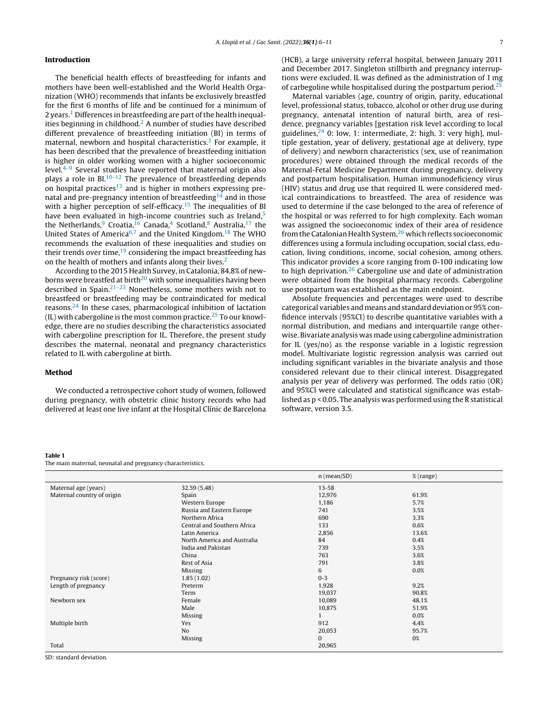### <span id="page-1-0"></span>Introduction

The beneficial health effects of breastfeeding for infants and mothers have been well-established and the World Health Organization (WHO) recommends that infants be exclusively breastfed for the first 6 months of life and be continued for a minimum of 2 years.<sup>[1](#page-5-0)</sup> Differences in breastfeeding are part of the health inequal-ities beginning in childhood.<sup>[2](#page-5-0)</sup> A number of studies have described different prevalence of breastfeeding initiation (BI) in terms of maternal, newborn and hospital characteristics.<sup>[3](#page-5-0)</sup> For example, it has been described that the prevalence of breastfeeding initiation is higher in older working women with a higher socioeconomic level. $4-9$  Several studies have reported that maternal origin also plays a role in BI.<sup>[10–12](#page-5-0)</sup> The prevalence of breastfeeding depends on hospital practices<sup>[13](#page-5-0)</sup> and is higher in mothers expressing pre-natal and pre-pregnancy intention of breastfeeding<sup>[14](#page-5-0)</sup> and in those with a higher perception of self-efficacy.<sup>[15](#page-5-0)</sup> The inequalities of BI have been evaluated in high-income countries such as Ireland,<sup>[5](#page-5-0)</sup> the Netherlands,<sup>[9](#page-5-0)</sup> Croatia,<sup>[16](#page-5-0)</sup> Canada,<sup>[4](#page-5-0)</sup> Scotland,<sup>[8](#page-5-0)</sup> Australia,<sup>[17](#page-5-0)</sup> the United States of America<sup>[6,7](#page-5-0)</sup> and the United Kingdom.<sup>[18](#page-5-0)</sup> The WHO recommends the evaluation of these inequalities and studies on their trends over time, $19$  considering the impact breastfeeding has on the health of mothers and infants along their lives.<sup>[2](#page-5-0)</sup>

According to the 2015 Health Survey, in Catalonia, 84.8% of new-borns were breastfed at birth<sup>[20](#page-5-0)</sup> with some inequalities having been described in Spain.[21–23](#page-5-0) Nonetheless, some mothers wish not to breastfeed or breastfeeding may be contraindicated for medical reasons.[24](#page-5-0) In these cases, pharmacological inhibition of lactation (IL) with cabergoline is the most common practice. $25$  To our knowledge, there are no studies describing the characteristics associated with cabergoline prescription for IL. Therefore, the present study describes the maternal, neonatal and pregnancy characteristics related to IL with cabergoline at birth.

## Method

We conducted a retrospective cohort study of women, followed during pregnancy, with obstetric clinic history records who had delivered at least one live infant at the Hospital Clínic de Barcelona (HCB), a large university referral hospital, between January 2011 and December 2017. Singleton stillbirth and pregnancy interruptions were excluded. IL was defined as the administration of 1 mg of carbegoline while hospitalised during the postpartum period.<sup>[25](#page-5-0)</sup>

Maternal variables (age, country of origin, parity, educational level, professional status, tobacco, alcohol or other drug use during pregnancy, antenatal intention of natural birth, area of residence, pregnancy variables [gestation risk level according to local guidelines,  $24$  0: low, 1: intermediate, 2: high, 3: very high], multiple gestation, year of delivery, gestational age at delivery, type of delivery) and newborn characteristics (sex, use of reanimation procedures) were obtained through the medical records of the Maternal-Fetal Medicine Department during pregnancy, delivery and postpartum hospitalisation. Human immunodeficiency virus (HIV) status and drug use that required IL were considered medical contraindications to breastfeed. The area of residence was used to determine if the case belonged to the area of reference of the hospital or was referred to for high complexity. Each woman was assigned the socioeconomic index of their area of residence from the Catalonian Health System,<sup>[26](#page-5-0)</sup> which reflects socioeconomic differences using a formula including occupation, social class, education, living conditions, income, social cohesion, among others. This indicator provides a score ranging from 0-100 indicating low to high deprivation.<sup>[26](#page-5-0)</sup> Cabergoline use and date of administration were obtained from the hospital pharmacy records. Cabergoline use postpartum was established as the main endpoint.

Absolute frequencies and percentages were used to describe categorical variables and means and standard deviation or 95% confidence intervals (95%CI) to describe quantitative variables with a normal distribution, and medians and interquartile range otherwise. Bivariate analysis was made using cabergoline administration for IL (yes/no) as the response variable in a logistic regression model. Multivariate logistic regression analysis was carried out including significant variables in the bivariate analysis and those considered relevant due to their clinical interest. Disaggregated analysis per year of delivery was performed. The odds ratio (OR) and 95%CI were calculated and statistical significance was established as p < 0.05. The analysis was performed using the R statistical software, version 3.5.

#### Table 1

The main maternal, neonatal and pregnancy characteristics.

|                            |                             | $n$ (mean/SD) | % (range) |
|----------------------------|-----------------------------|---------------|-----------|
| Maternal age (years)       | 32.59 (5.48)                | $13 - 58$     |           |
| Maternal country of origin | Spain                       | 12,976        | 61.9%     |
|                            | Western Europe              | 1,186         | 5.7%      |
|                            | Russia and Eastern Europe   | 741           | 3.5%      |
|                            | Northern Africa             | 690           | 3.3%      |
|                            | Central and Southern Africa | 133           | 0.6%      |
|                            | Latin America               | 2,856         | 13.6%     |
|                            | North America and Australia | 84            | 0.4%      |
|                            | India and Pakistan          | 739           | 3.5%      |
|                            | China                       | 763           | 3.6%      |
|                            | Rest of Asia                | 791           | 3.8%      |
|                            | <b>Missing</b>              | 6             | 0.0%      |
| Pregnancy risk (score)     | 1.85(1.02)                  | $0 - 3$       |           |
| Length of pregnancy        | Preterm                     | 1,928         | 9.2%      |
|                            | Term                        | 19,037        | 90.8%     |
| Newborn sex                | Female                      | 10,089        | 48.1%     |
|                            | Male                        | 10,875        | 51.9%     |
|                            | <b>Missing</b>              | 1             | 0.0%      |
| Multiple birth             | Yes                         | 912           | 4.4%      |
|                            | N <sub>o</sub>              | 20,053        | 95.7%     |
|                            | Missing                     | $\mathbf{0}$  | 0%        |
| Total                      |                             | 20,965        |           |

SD: standard deviation.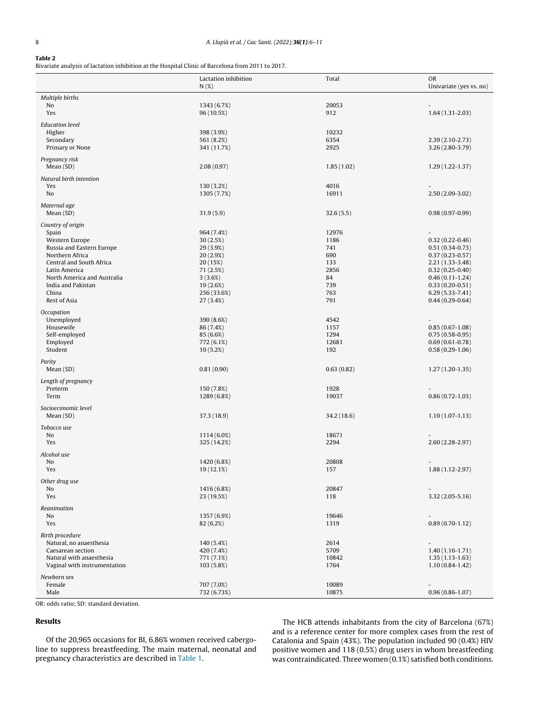## <span id="page-2-0"></span>Table 2

Bivariate analysis of lactation inhibition at the Hospital Clinic of Barcelona from 2011 to 2017.

|                                                                                                                                                                                                                         | Lactation inhibition<br>N(%)                                                                                                 | Total                                                                 | <b>OR</b><br>Univariate (yes vs. no)                                                                                                                                                                               |
|-------------------------------------------------------------------------------------------------------------------------------------------------------------------------------------------------------------------------|------------------------------------------------------------------------------------------------------------------------------|-----------------------------------------------------------------------|--------------------------------------------------------------------------------------------------------------------------------------------------------------------------------------------------------------------|
| Multiple births<br>No<br>Yes                                                                                                                                                                                            | 1343 (6.7%)<br>96 (10.5%)                                                                                                    | 20053<br>912                                                          | $\overline{a}$<br>$1.64(1.31 - 2.03)$                                                                                                                                                                              |
| <b>Education</b> level<br>Higher<br>Secondary<br>Primary or None                                                                                                                                                        | 398 (3.9%)<br>561 (8.2%)<br>341 (11.7%)                                                                                      | 10232<br>6354<br>2925                                                 | $2.39(2.10-2.73)$<br>3.26 (2.80-3.79)                                                                                                                                                                              |
| Pregnancy risk<br>Mean (SD)                                                                                                                                                                                             | 2.08(0.97)                                                                                                                   | 1.85(1.02)                                                            | $1.29(1.22 - 1.37)$                                                                                                                                                                                                |
| Natural birth intention<br>Yes<br>No                                                                                                                                                                                    | 130 (3.2%)<br>1305 (7.7%)                                                                                                    | 4016<br>16911                                                         | $2.50(2.09-3.02)$                                                                                                                                                                                                  |
| Maternal age<br>Mean (SD)                                                                                                                                                                                               | 31.9(5.9)                                                                                                                    | 32.6(5.5)                                                             | $0.98(0.97-0.99)$                                                                                                                                                                                                  |
| Country of origin<br>Spain<br>Western Europe<br>Russia and Eastern Europe<br>Northern Africa<br>Central and South Africa<br>Latin America<br>North America and Australia<br>India and Pakistan<br>China<br>Rest of Asia | 964 (7.4%)<br>30(2.5%)<br>29 (3.9%)<br>20(2.9%)<br>20 (15%)<br>71 (2.5%)<br>3(3.6%)<br>19 (2.6%)<br>256 (33.6%)<br>27 (3.4%) | 12976<br>1186<br>741<br>690<br>133<br>2856<br>84<br>739<br>763<br>791 | $\overline{a}$<br>$0.32(0.22 - 0.46)$<br>$0.51(0.34-0.73)$<br>$0.37(0.23 - 0.57)$<br>2.21 (1.33-3.48)<br>$0.32(0.25 - 0.40)$<br>$0.46(0.11-1.24)$<br>$0.33(0.20-0.51)$<br>$6.29(5.33 - 7.41)$<br>$0.44(0.29-0.64)$ |
| Occupation<br>Unemployed<br>Housewife<br>Self-employed<br>Employed<br>Student                                                                                                                                           | 390 (8.6%)<br>86 (7.4%)<br>85 (6.6%)<br>772 (6.1%)<br>10(5.2%)                                                               | 4542<br>1157<br>1294<br>12681<br>192                                  | $0.85(0.67-1.08)$<br>$0.75(0.58-0.95)$<br>$0.69(0.61 - 0.78)$<br>$0.58(0.29-1.06)$                                                                                                                                 |
| Parity<br>Mean(SD)                                                                                                                                                                                                      | 0.81(0.90)                                                                                                                   | 0.63(0.82)                                                            | $1.27(1.20-1.35)$                                                                                                                                                                                                  |
| Length of pregnancy<br>Preterm<br>Term                                                                                                                                                                                  | 150 (7.8%)<br>1289 (6.8%)                                                                                                    | 1928<br>19037                                                         | $0.86(0.72 - 1.03)$                                                                                                                                                                                                |
| Socioeconomic level<br>Mean (SD)                                                                                                                                                                                        | 37.3 (18.9)                                                                                                                  | 34.2 (18.6)                                                           | $1.10(1.07-1.13)$                                                                                                                                                                                                  |
| Tobacco use<br>No<br>Yes                                                                                                                                                                                                | 1114 (6.0%)<br>325 (14.2%)                                                                                                   | 18671<br>2294                                                         | $2.60(2.28 - 2.97)$                                                                                                                                                                                                |
| Alcohol use<br>No<br>Yes                                                                                                                                                                                                | 1420 (6.8%)<br>19 (12.1%)                                                                                                    | 20808<br>157                                                          | $1.88(1.12 - 2.97)$                                                                                                                                                                                                |
| Other drug use<br>No<br>Yes                                                                                                                                                                                             | 1416 (6.8%)<br>23 (19.5%)                                                                                                    | 20847<br>118                                                          | $3.32(2.05 - 5.16)$                                                                                                                                                                                                |
| Reanimation<br>No<br>Yes                                                                                                                                                                                                | 1357 (6.9%)<br>82 (6.2%)                                                                                                     | 19646<br>1319                                                         | $0.89(0.70-1.12)$                                                                                                                                                                                                  |
| Birth procedure<br>Natural, no anaesthesia<br>Caesarean section<br>Natural with anaesthesia<br>Vaginal with instrumentation                                                                                             | 140 (5.4%)<br>420 (7.4%)<br>771 (7.1%)<br>103 (5.8%)                                                                         | 2614<br>5709<br>10842<br>1764                                         | $\overline{\phantom{0}}$<br>$1.40(1.16-1.71)$<br>$1.35(1.13-1.63)$<br>$1.10(0.84-1.42)$                                                                                                                            |
| Newborn sex<br>Female<br>Male                                                                                                                                                                                           | 707 (7.0%)<br>732 (6.73%)                                                                                                    | 10089<br>10875                                                        | $\overline{a}$<br>$0.96(0.86 - 1.07)$                                                                                                                                                                              |

OR: odds ratio; SD: standard deviation.

## Results

Of the 20,965 occasions for BI, 6.86% women received cabergoline to suppress breastfeeding. The main maternal, neonatal and pregnancy characteristics are described in [Table](#page-1-0) 1.

The HCB attends inhabitants from the city of Barcelona (67%) and is a reference center for more complex cases from the rest of Catalonia and Spain (43%). The population included 90 (0.4%) HIV positive women and 118 (0.5%) drug users in whom breastfeeding was contraindicated. Three women (0.1%) satisfied both conditions.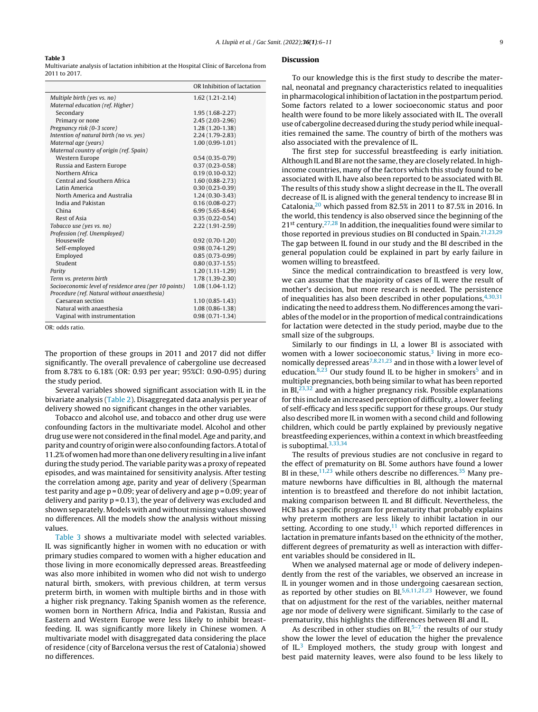#### Table 3

Multivariate analysis of lactation inhibition at the Hospital Clínic of Barcelona from 2011 to 2017.

|                                                       | OR Inhibition of lactation |
|-------------------------------------------------------|----------------------------|
| Multiple birth (yes vs. no)                           | $1.62(1.21-2.14)$          |
| Maternal education (ref. Higher)                      |                            |
| Secondary                                             | $1.95(1.68 - 2.27)$        |
| Primary or none                                       | 2.45 (2.03-2.96)           |
| Pregnancy risk (0-3 score)                            | 1.28 (1.20-1.38)           |
| Intention of natural birth (no vs. yes)               | $2.24(1.79-2.83)$          |
| Maternal age (years)                                  | $1.00(0.99-1.01)$          |
| Maternal country of origin (ref. Spain)               |                            |
| Western Europe                                        | $0.54(0.35-0.79)$          |
| Russia and Eastern Europe                             | $0.37(0.23 - 0.58)$        |
| Northern Africa                                       | $0.19(0.10-0.32)$          |
| Central and Southern Africa                           | 1.60 (0.88-2.73)           |
| Latin America                                         | $0.30(0.23 - 0.39)$        |
| North America and Australia                           | $1.24(0.30-3.43)$          |
| India and Pakistan                                    | $0.16(0.08 - 0.27)$        |
| China                                                 | $6.99(5.65 - 8.64)$        |
| Rest of Asia                                          | $0.35(0.22 - 0.54)$        |
| Tobacco use (yes vs. no)                              | $2.22(1.91 - 2.59)$        |
| Profession (ref. Unemployed)                          |                            |
| Housewife                                             | $0.92(0.70-1.20)$          |
| Self-employed                                         | $0.98(0.74-1.29)$          |
| Employed                                              | $0.85(0.73-0.99)$          |
| Student                                               | $0.80(0.37-1.55)$          |
| Parity                                                | $1.20(1.11-1.29)$          |
| Term vs. preterm birth                                | 1.78 (1.39-2.30)           |
| Socioeconomic level of residence area (per 10 points) | $1.08(1.04-1.12)$          |
| Procedure (ref. Natural without anaesthesia)          |                            |
| Caesarean section                                     | $1.10(0.85 - 1.43)$        |
| Natural with anaesthesia                              | $1.08(0.86 - 1.38)$        |
| Vaginal with instrumentation                          | $0.98(0.71 - 1.34)$        |

OR: odds ratio.

The proportion of these groups in 2011 and 2017 did not differ significantly. The overall prevalence of cabergoline use decreased from 8.78% to 6.18% (OR: 0.93 per year; 95%CI: 0.90-0.95) during the study period.

Several variables showed significant association with IL in the bivariate analysis [\(Table](#page-2-0) 2). Disaggregated data analysis per year of delivery showed no significant changes in the other variables.

Tobacco and alcohol use, and tobacco and other drug use were confounding factors in the multivariate model. Alcohol and other drug use were not considered in the final model.Age and parity, and parity and country of origin were also confounding factors.Atotal of 11.2% of women had more than one delivery resulting in a live infant during the study period. The variable parity was a proxy of repeated episodes, and was maintained for sensitivity analysis. After testing the correlation among age, parity and year of delivery (Spearman test parity and age p = 0.09; year of delivery and age p = 0.09; year of delivery and parity  $p = 0.13$ ), the year of delivery was excluded and shown separately. Models with and without missing values showed no differences. All the models show the analysis without missing values.

Table 3 shows a multivariate model with selected variables. IL was significantly higher in women with no education or with primary studies compared to women with a higher education and those living in more economically depressed areas. Breastfeeding was also more inhibited in women who did not wish to undergo natural birth, smokers, with previous children, at term versus preterm birth, in women with multiple births and in those with a higher risk pregnancy. Taking Spanish women as the reference, women born in Northern Africa, India and Pakistan, Russia and Eastern and Western Europe were less likely to inhibit breastfeeding. IL was significantly more likely in Chinese women. A multivariate model with disaggregated data considering the place of residence (city of Barcelona versus the rest of Catalonia) showed no differences.

#### Discussion

To our knowledge this is the first study to describe the maternal, neonatal and pregnancy characteristics related to inequalities in pharmacological inhibition oflactation in the postpartum period. Some factors related to a lower socioeconomic status and poor health were found to be more likely associated with IL. The overall use of cabergoline decreased during the study period while inequalities remained the same. The country of birth of the mothers was also associated with the prevalence of IL.

The first step for successful breastfeeding is early initiation. Although IL and BI are not the same, they are closely related. In highincome countries, many of the factors which this study found to be associated with IL have also been reported to be associated with BI. The results of this study show a slight decrease in the IL. The overall decrease of IL is aligned with the general tendency to increase BI in Catalonia, $20$  which passed from 82.5% in 2011 to 87.5% in 2016. In the world, this tendency is also observed since the beginning of the  $21^{st}$  century.<sup>[27,28](#page-5-0)</sup> In addition, the inequalities found were similar to those reported in previous studies on BI conducted in Spain.<sup>[21,23,29](#page-5-0)</sup> The gap between IL found in our study and the BI described in the general population could be explained in part by early failure in women willing to breastfeed.

Since the medical contraindication to breastfeed is very low, we can assume that the majority of cases of IL were the result of mother's decision, but more research is needed. The persistence of inequalities has also been described in other populations,  $4,30,31$ indicating the need to address them. No differences among the variables ofthe model or in the proportion of medical contraindications for lactation were detected in the study period, maybe due to the small size of the subgroups.

Similarly to our findings in LI, a lower BI is associated with women with a lower socioeconomic status, $3$  living in more eco-nomically depressed areas<sup>[7,8,21,23](#page-5-0)</sup> and in those with a lower level of education. $8,23$  Our study found IL to be higher in smokers<sup>[5](#page-5-0)</sup> and in multiple pregnancies, both being similar to what has been reported in BI $^{23,32}$  $^{23,32}$  $^{23,32}$  and with a higher pregnancy risk. Possible explanations for this include an increased perception of difficulty, a lower feeling of self-efficacy and less specific support for these groups. Our study also described more IL in women with a second child and following children, which could be partly explained by previously negative breastfeeding experiences, within a context in which breastfeeding is suboptimal.[3,33,34](#page-5-0)

The results of previous studies are not conclusive in regard to the effect of prematurity on BI. Some authors have found a lower BI in these,  $11,23$  while others describe no differences.  $35$  Many premature newborns have difficulties in BI, although the maternal intention is to breastfeed and therefore do not inhibit lactation, making comparison between IL and BI difficult. Nevertheless, the HCB has a specific program for prematurity that probably explains why preterm mothers are less likely to inhibit lactation in our setting. According to one study, $11$  which reported differences in lactation in premature infants based on the ethnicity of the mother, different degrees of prematurity as well as interaction with different variables should be considered in IL.

When we analysed maternal age or mode of delivery independently from the rest of the variables, we observed an increase in IL in younger women and in those undergoing caesarean section, as reported by other studies on  $BI.5,6,11,21,23$  $BI.5,6,11,21,23$  However, we found that on adjustment for the rest of the variables, neither maternal age nor mode of delivery were significant. Similarly to the case of prematurity, this highlights the differences between BI and IL.

As described in other studies on  $BI<sub>5</sub><sup>5-7</sup>$  the results of our study show the lower the level of education the higher the prevalence of  $IL^3$  $IL^3$  Employed mothers, the study group with longest and best paid maternity leaves, were also found to be less likely to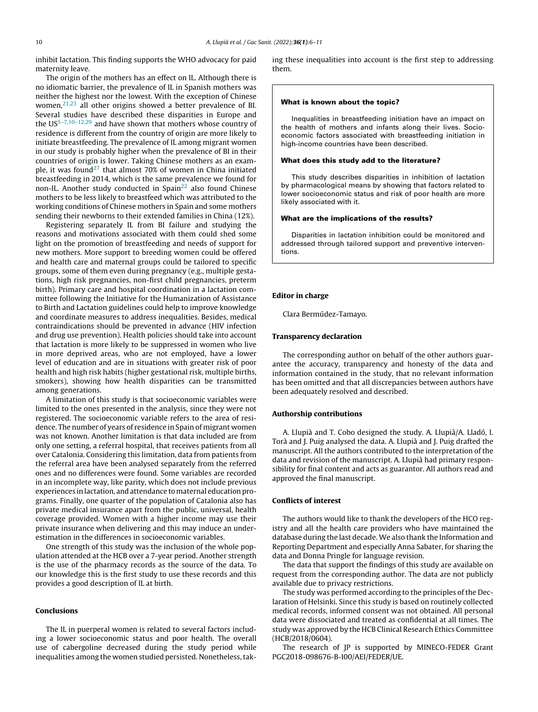inhibit lactation. This finding supports the WHO advocacy for paid maternity leave.

The origin of the mothers has an effect on IL. Although there is no idiomatic barrier, the prevalence of IL in Spanish mothers was neither the highest nor the lowest. With the exception of Chinese women,[21,23](#page-5-0) all other origins showed a better prevalence of BI. Several studies have described these disparities in Europe and the  $US^{5-7,10-12,29}$  and have shown that mothers whose country of residence is different from the country of origin are more likely to initiate breastfeeding. The prevalence of IL among migrant women in our study is probably higher when the prevalence of BI in their countries of origin is lower. Taking Chinese mothers as an example, it was found[27](#page-5-0) that almost 70% of women in China initiated breastfeeding in 2014, which is the same prevalence we found for non-IL. Another study conducted in  $Spin<sup>22</sup>$  $Spin<sup>22</sup>$  $Spin<sup>22</sup>$  also found Chinese mothers to be less likely to breastfeed which was attributed to the working conditions of Chinese mothers in Spain and some mothers sending their newborns to their extended families in China (12%).

Registering separately IL from BI failure and studying the reasons and motivations associated with them could shed some light on the promotion of breastfeeding and needs of support for new mothers. More support to breeding women could be offered and health care and maternal groups could be tailored to specific groups, some of them even during pregnancy (e.g., multiple gestations, high risk pregnancies, non-first child pregnancies, preterm birth). Primary care and hospital coordination in a lactation committee following the Initiative for the Humanization of Assistance to Birth and Lactation guidelines could help to improve knowledge and coordinate measures to address inequalities. Besides, medical contraindications should be prevented in advance (HIV infection and drug use prevention). Health policies should take into account that lactation is more likely to be suppressed in women who live in more deprived areas, who are not employed, have a lower level of education and are in situations with greater risk of poor health and high risk habits (higher gestational risk, multiple births, smokers), showing how health disparities can be transmitted among generations.

A limitation of this study is that socioeconomic variables were limited to the ones presented in the analysis, since they were not registered. The socioeconomic variable refers to the area of residence. The number of years of residence in Spain of migrant women was not known. Another limitation is that data included are from only one setting, a referral hospital, that receives patients from all over Catalonia. Considering this limitation, data from patients from the referral area have been analysed separately from the referred ones and no differences were found. Some variables are recorded in an incomplete way, like parity, which does not include previous experiences in lactation, and attendance to maternal education programs. Finally, one quarter of the population of Catalonia also has private medical insurance apart from the public, universal, health coverage provided. Women with a higher income may use their private insurance when delivering and this may induce an underestimation in the differences in socioeconomic variables.

One strength of this study was the inclusion of the whole population attended at the HCB over a 7-year period. Another strength is the use of the pharmacy records as the source of the data. To our knowledge this is the first study to use these records and this provides a good description of IL at birth.

#### Conclusions

The IL in puerperal women is related to several factors including a lower socioeconomic status and poor health. The overall use of cabergoline decreased during the study period while inequalities among the women studied persisted. Nonetheless, taking these inequalities into account is the first step to addressing them.

#### What is known about the topic?

Inequalities in breastfeeding initiation have an impact on the health of mothers and infants along their lives. Socioeconomic factors associated with breastfeeding initiation in high-income countries have been described.

#### What does this study add to the literature?

This study describes disparities in inhibition of lactation by pharmacological means by showing that factors related to lower socioeconomic status and risk of poor health are more likely associated with it.

#### What are the implications of the results?

Disparities in lactation inhibition could be monitored and addressed through tailored support and preventive interventions.

#### Editor in charge

Clara Bermúdez-Tamayo.

#### Transparency declaration

The corresponding author on behalf of the other authors guarantee the accuracy, transparency and honesty of the data and information contained in the study, that no relevant information has been omitted and that all discrepancies between authors have been adequately resolved and described.

#### Authorship contributions

A. Llupià and T. Cobo designed the study. A. Llupià/A. Lladó, I. Torà and J. Puig analysed the data. A. Llupià and J. Puig drafted the manuscript. All the authors contributed to the interpretation of the data and revision of the manuscript. A. Llupià had primary responsibility for final content and acts as guarantor. All authors read and approved the final manuscript.

#### Conflicts of interest

The authors would like to thank the developers of the HCO registry and all the health care providers who have maintained the database during the last decade. We also thank the Information and Reporting Department and especially Anna Sabater, for sharing the data and Donna Pringle for language revision.

The data that support the findings of this study are available on request from the corresponding author. The data are not publicly available due to privacy restrictions.

The study was performed according to the principles of the Declaration of Helsinki. Since this study is based on routinely collected medical records, informed consent was not obtained. All personal data were dissociated and treated as confidential at all times. The study was approved by the HCB Clinical Research Ethics Committee (HCB/2018/0604).

The research of JP is supported by MINECO-FEDER Grant PGC2018-098676-B-I00/AEI/FEDER/UE.